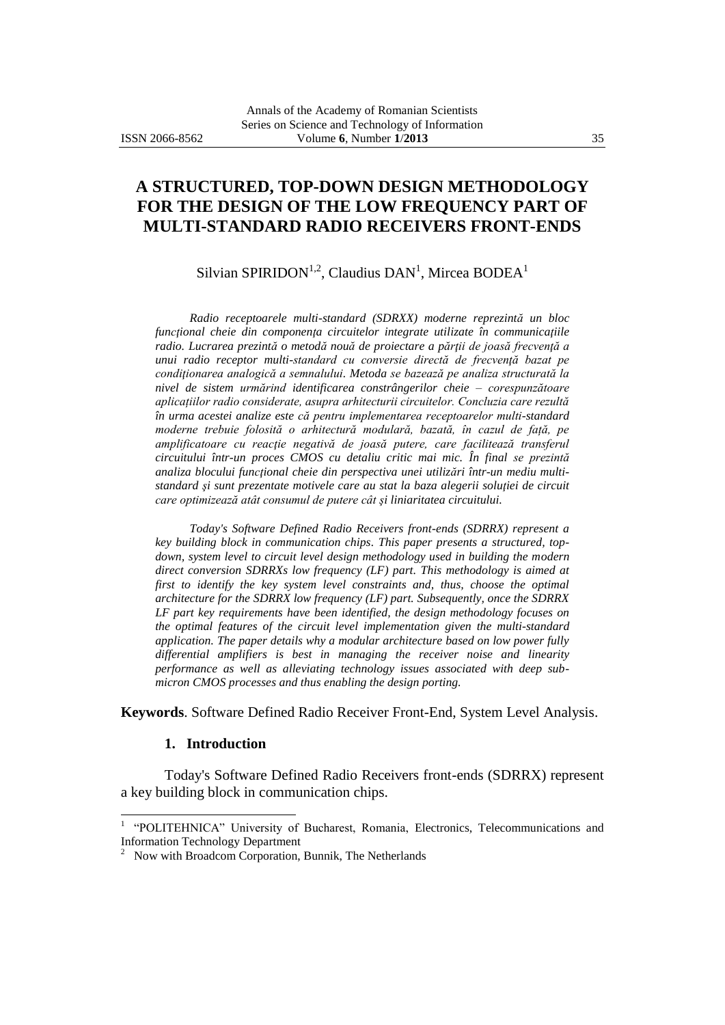# **A STRUCTURED, TOP-DOWN DESIGN METHODOLOGY FOR THE DESIGN OF THE LOW FREQUENCY PART OF MULTI-STANDARD RADIO RECEIVERS FRONT-ENDS**

Silvian SPIRIDON<sup>1,2</sup>, Claudius DAN<sup>1</sup>, Mircea BODEA<sup>1</sup>

*Radio receptoarele multi-standard (SDRXX) moderne reprezintă un bloc funcţional cheie din componenţa circuitelor integrate utilizate în communicaţiile radio. Lucrarea prezintă o metodă nouă de proiectare a părţii de joasă frecvenţă a unui radio receptor multi-standard cu conversie directă de frecvenţă bazat pe condiţionarea analogică a semnalului. Metoda se bazează pe analiza structurată la nivel de sistem urmărind identificarea constrângerilor cheie – corespunzătoare aplicațiilor radio considerate, asupra arhitecturii circuitelor. Concluzia care rezultă în urma acestei analize este că pentru implementarea receptoarelor multi-standard moderne trebuie folosită o arhitectură modulară, bazată, în cazul de față, pe amplificatoare cu reacţie negativă de joasă putere, care facilitează transferul circuitului într-un proces CMOS cu detaliu critic mai mic. În final se prezintă analiza blocului funcţional cheie din perspectiva unei utilizări într-un mediu multistandard şi sunt prezentate motivele care au stat la baza alegerii soluţiei de circuit care optimizează atât consumul de putere cât şi liniaritatea circuitului.*

*Today's Software Defined Radio Receivers front-ends (SDRRX) represent a key building block in communication chips. This paper presents a structured, topdown, system level to circuit level design methodology used in building the modern direct conversion SDRRXs low frequency (LF) part. This methodology is aimed at first to identify the key system level constraints and, thus, choose the optimal architecture for the SDRRX low frequency (LF) part. Subsequently, once the SDRRX LF part key requirements have been identified, the design methodology focuses on the optimal features of the circuit level implementation given the multi-standard application. The paper details why a modular architecture based on low power fully differential amplifiers is best in managing the receiver noise and linearity performance as well as alleviating technology issues associated with deep submicron CMOS processes and thus enabling the design porting.*

**Keywords**. Software Defined Radio Receiver Front-End, System Level Analysis.

### **1. Introduction**

Today's Software Defined Radio Receivers front-ends (SDRRX) represent a key building block in communication chips.

<sup>&</sup>lt;sup>1</sup> "POLITEHNICA" University of Bucharest, Romania, Electronics, Telecommunications and Information Technology Department 2

Now with Broadcom Corporation, Bunnik, The Netherlands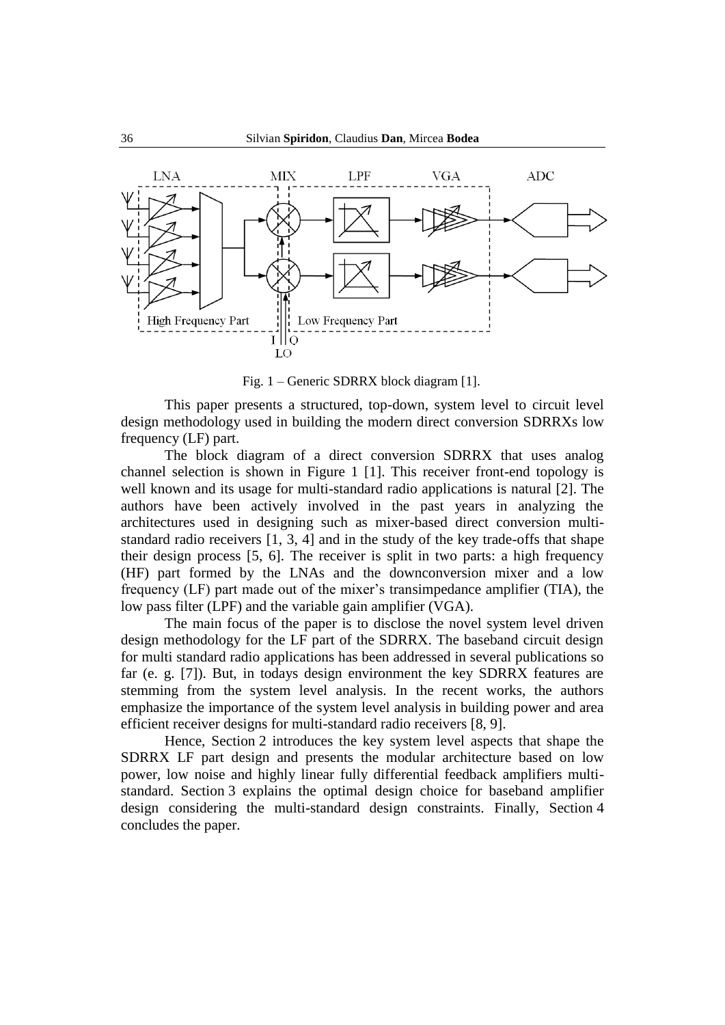

Fig. 1 – Generic SDRRX block diagram [1].

This paper presents a structured, top-down, system level to circuit level design methodology used in building the modern direct conversion SDRRXs low frequency (LF) part.

The block diagram of a direct conversion SDRRX that uses analog channel selection is shown in Figure 1 [1]. This receiver front-end topology is well known and its usage for multi-standard radio applications is natural [2]. The authors have been actively involved in the past years in analyzing the architectures used in designing such as mixer-based direct conversion multistandard radio receivers [1, 3, 4] and in the study of the key trade-offs that shape their design process [5, 6]. The receiver is split in two parts: a high frequency (HF) part formed by the LNAs and the downconversion mixer and a low frequency (LF) part made out of the mixer's transimpedance amplifier (TIA), the low pass filter (LPF) and the variable gain amplifier (VGA).

The main focus of the paper is to disclose the novel system level driven design methodology for the LF part of the SDRRX. The baseband circuit design for multi standard radio applications has been addressed in several publications so far (e. g. [7]). But, in todays design environment the key SDRRX features are stemming from the system level analysis. In the recent works, the authors emphasize the importance of the system level analysis in building power and area efficient receiver designs for multi-standard radio receivers [8, 9].

Hence, Section 2 introduces the key system level aspects that shape the SDRRX LF part design and presents the modular architecture based on low power, low noise and highly linear fully differential feedback amplifiers multistandard. Section 3 explains the optimal design choice for baseband amplifier design considering the multi-standard design constraints. Finally, Section 4 concludes the paper.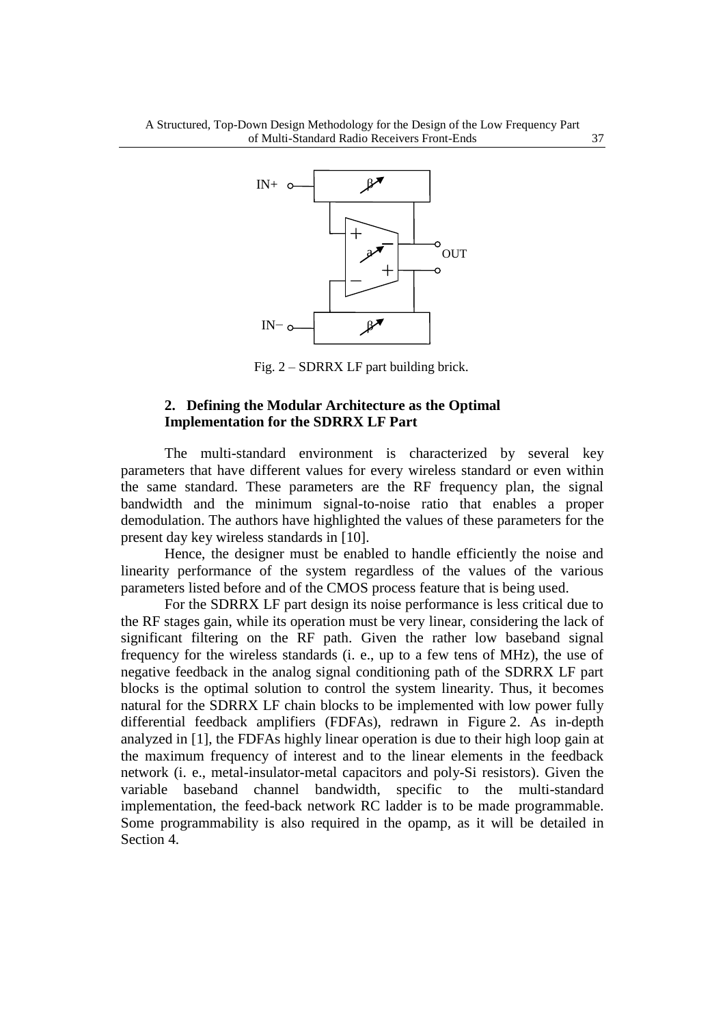

Fig. 2 – SDRRX LF part building brick.

## **2. Defining the Modular Architecture as the Optimal Implementation for the SDRRX LF Part**

The multi-standard environment is characterized by several key parameters that have different values for every wireless standard or even within the same standard. These parameters are the RF frequency plan, the signal bandwidth and the minimum signal-to-noise ratio that enables a proper demodulation. The authors have highlighted the values of these parameters for the present day key wireless standards in [10].

Hence, the designer must be enabled to handle efficiently the noise and linearity performance of the system regardless of the values of the various parameters listed before and of the CMOS process feature that is being used.

For the SDRRX LF part design its noise performance is less critical due to the RF stages gain, while its operation must be very linear, considering the lack of significant filtering on the RF path. Given the rather low baseband signal frequency for the wireless standards (i. e., up to a few tens of MHz), the use of negative feedback in the analog signal conditioning path of the SDRRX LF part blocks is the optimal solution to control the system linearity. Thus, it becomes natural for the SDRRX LF chain blocks to be implemented with low power fully differential feedback amplifiers (FDFAs), redrawn in Figure 2. As in-depth analyzed in [1], the FDFAs highly linear operation is due to their high loop gain at the maximum frequency of interest and to the linear elements in the feedback network (i. e., metal-insulator-metal capacitors and poly-Si resistors). Given the variable baseband channel bandwidth, specific to the multi-standard implementation, the feed-back network RC ladder is to be made programmable. Some programmability is also required in the opamp, as it will be detailed in Section 4.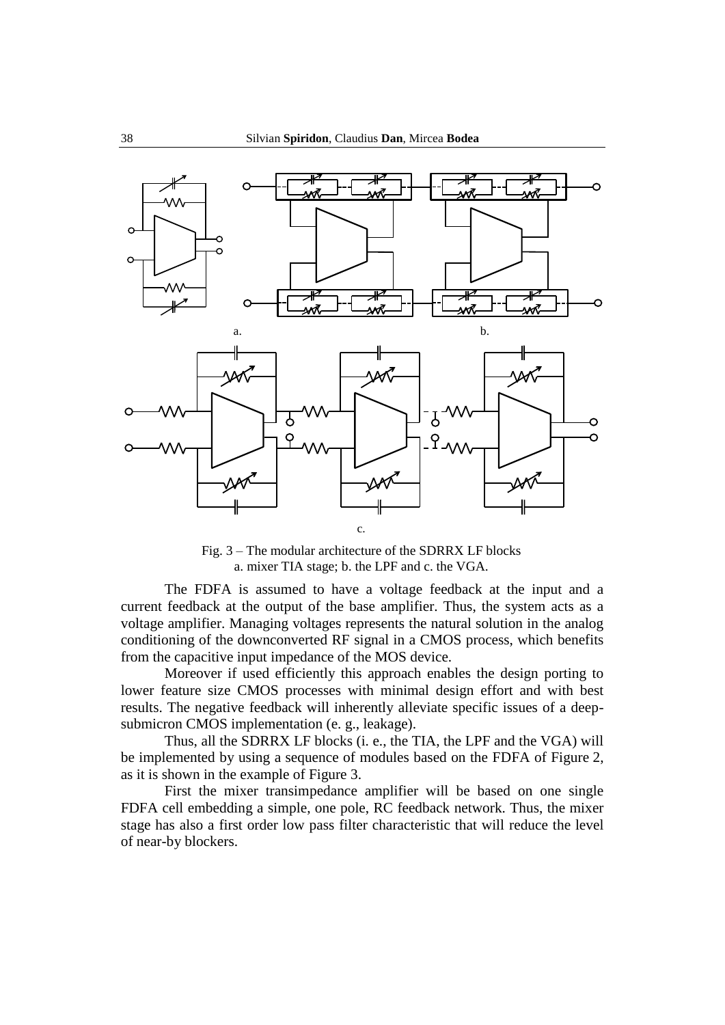

Fig. 3 – The modular architecture of the SDRRX LF blocks a. mixer TIA stage; b. the LPF and c. the VGA.

The FDFA is assumed to have a voltage feedback at the input and a current feedback at the output of the base amplifier. Thus, the system acts as a voltage amplifier. Managing voltages represents the natural solution in the analog conditioning of the downconverted RF signal in a CMOS process, which benefits from the capacitive input impedance of the MOS device.

Moreover if used efficiently this approach enables the design porting to lower feature size CMOS processes with minimal design effort and with best results. The negative feedback will inherently alleviate specific issues of a deepsubmicron CMOS implementation (e. g., leakage).

Thus, all the SDRRX LF blocks (i. e., the TIA, the LPF and the VGA) will be implemented by using a sequence of modules based on the FDFA of Figure 2, as it is shown in the example of Figure 3.

First the mixer transimpedance amplifier will be based on one single FDFA cell embedding a simple, one pole, RC feedback network. Thus, the mixer stage has also a first order low pass filter characteristic that will reduce the level of near-by blockers.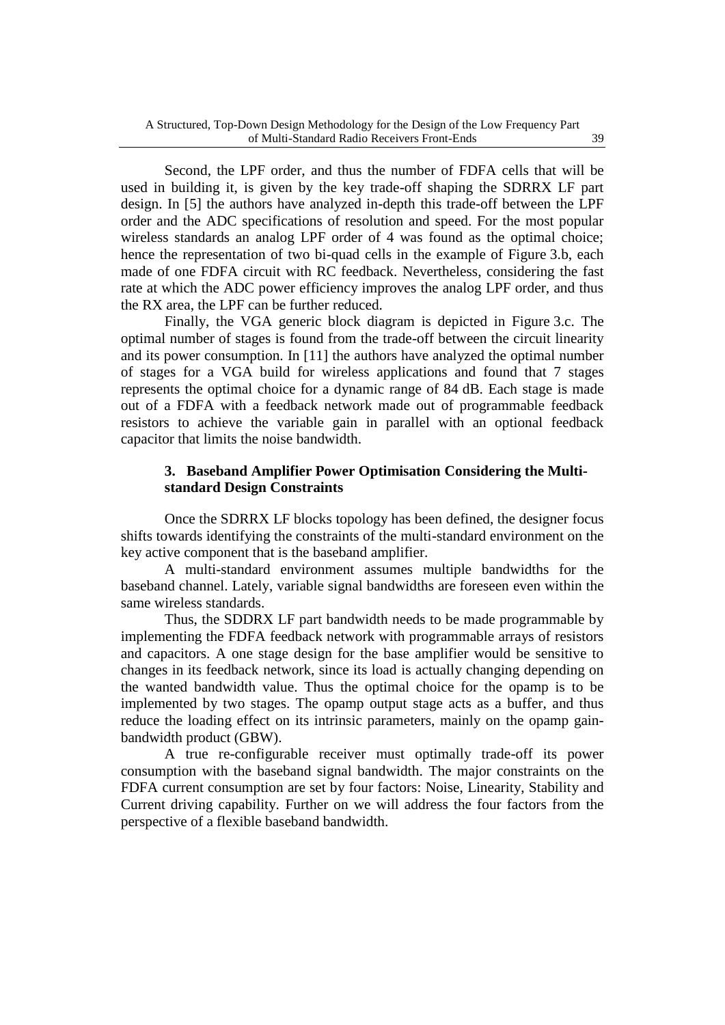Second, the LPF order, and thus the number of FDFA cells that will be used in building it, is given by the key trade-off shaping the SDRRX LF part design. In [5] the authors have analyzed in-depth this trade-off between the LPF order and the ADC specifications of resolution and speed. For the most popular wireless standards an analog LPF order of 4 was found as the optimal choice; hence the representation of two bi-quad cells in the example of Figure 3.b, each made of one FDFA circuit with RC feedback. Nevertheless, considering the fast rate at which the ADC power efficiency improves the analog LPF order, and thus the RX area, the LPF can be further reduced.

Finally, the VGA generic block diagram is depicted in Figure 3.c. The optimal number of stages is found from the trade-off between the circuit linearity and its power consumption. In [11] the authors have analyzed the optimal number of stages for a VGA build for wireless applications and found that 7 stages represents the optimal choice for a dynamic range of 84 dB. Each stage is made out of a FDFA with a feedback network made out of programmable feedback resistors to achieve the variable gain in parallel with an optional feedback capacitor that limits the noise bandwidth.

# **3. Baseband Amplifier Power Optimisation Considering the Multistandard Design Constraints**

Once the SDRRX LF blocks topology has been defined, the designer focus shifts towards identifying the constraints of the multi-standard environment on the key active component that is the baseband amplifier.

A multi-standard environment assumes multiple bandwidths for the baseband channel. Lately, variable signal bandwidths are foreseen even within the same wireless standards.

Thus, the SDDRX LF part bandwidth needs to be made programmable by implementing the FDFA feedback network with programmable arrays of resistors and capacitors. A one stage design for the base amplifier would be sensitive to changes in its feedback network, since its load is actually changing depending on the wanted bandwidth value. Thus the optimal choice for the opamp is to be implemented by two stages. The opamp output stage acts as a buffer, and thus reduce the loading effect on its intrinsic parameters, mainly on the opamp gainbandwidth product (GBW).

A true re-configurable receiver must optimally trade-off its power consumption with the baseband signal bandwidth. The major constraints on the FDFA current consumption are set by four factors: Noise, Linearity, Stability and Current driving capability. Further on we will address the four factors from the perspective of a flexible baseband bandwidth.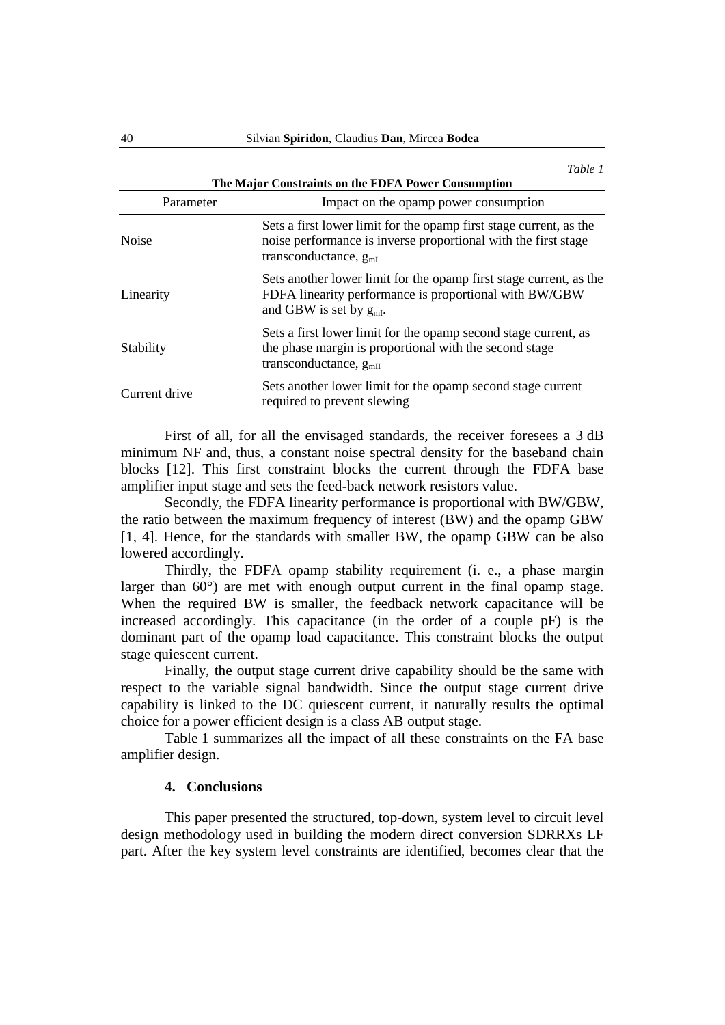|                                                     | Table 1                                                                                                                                                            |
|-----------------------------------------------------|--------------------------------------------------------------------------------------------------------------------------------------------------------------------|
| The Major Constraints on the FDFA Power Consumption |                                                                                                                                                                    |
| Parameter                                           | Impact on the opamp power consumption                                                                                                                              |
| <b>Noise</b>                                        | Sets a first lower limit for the opamp first stage current, as the<br>noise performance is inverse proportional with the first stage<br>transconductance, $g_{mI}$ |
| Linearity                                           | Sets another lower limit for the opamp first stage current, as the<br>FDFA linearity performance is proportional with BW/GBW<br>and GBW is set by $g_{mI}$ .       |
| Stability                                           | Sets a first lower limit for the opamp second stage current, as<br>the phase margin is proportional with the second stage<br>transconductance, $gmII$              |
| Current drive                                       | Sets another lower limit for the opamp second stage current<br>required to prevent slewing                                                                         |

First of all, for all the envisaged standards, the receiver foresees a 3 dB minimum NF and, thus, a constant noise spectral density for the baseband chain blocks [12]. This first constraint blocks the current through the FDFA base amplifier input stage and sets the feed-back network resistors value.

Secondly, the FDFA linearity performance is proportional with BW/GBW, the ratio between the maximum frequency of interest (BW) and the opamp GBW [1, 4]. Hence, for the standards with smaller BW, the opamp GBW can be also lowered accordingly.

Thirdly, the FDFA opamp stability requirement (i. e., a phase margin larger than 60°) are met with enough output current in the final opamp stage. When the required BW is smaller, the feedback network capacitance will be increased accordingly. This capacitance (in the order of a couple pF) is the dominant part of the opamp load capacitance. This constraint blocks the output stage quiescent current.

Finally, the output stage current drive capability should be the same with respect to the variable signal bandwidth. Since the output stage current drive capability is linked to the DC quiescent current, it naturally results the optimal choice for a power efficient design is a class AB output stage.

Table 1 summarizes all the impact of all these constraints on the FA base amplifier design.

#### **4. Conclusions**

This paper presented the structured, top-down, system level to circuit level design methodology used in building the modern direct conversion SDRRXs LF part. After the key system level constraints are identified, becomes clear that the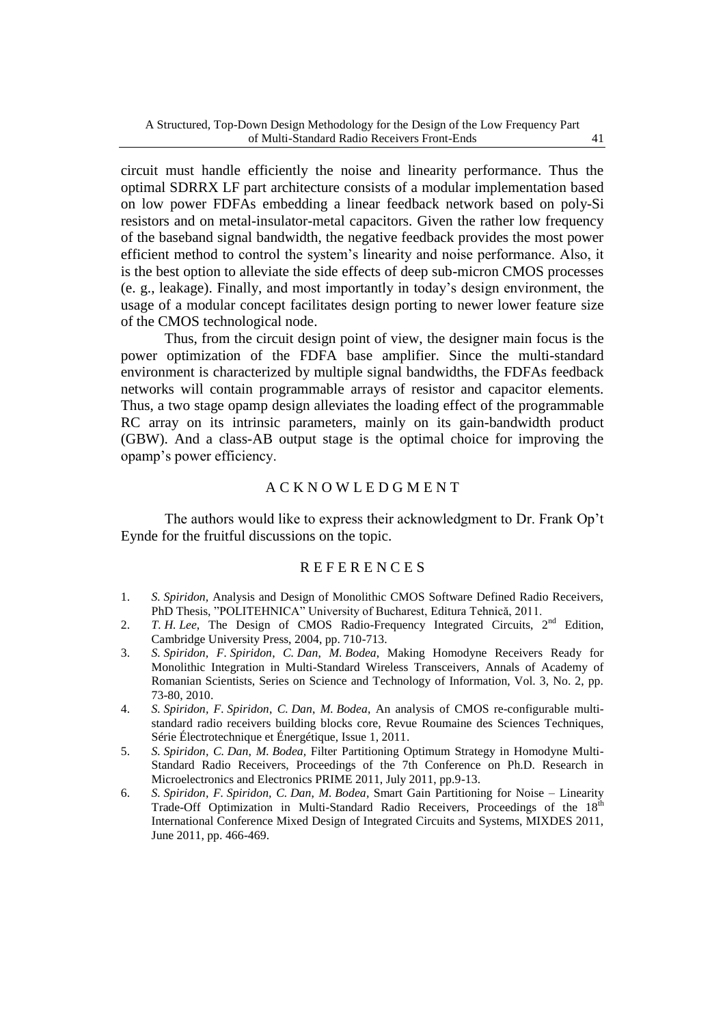circuit must handle efficiently the noise and linearity performance. Thus the optimal SDRRX LF part architecture consists of a modular implementation based on low power FDFAs embedding a linear feedback network based on poly-Si resistors and on metal-insulator-metal capacitors. Given the rather low frequency of the baseband signal bandwidth, the negative feedback provides the most power efficient method to control the system's linearity and noise performance. Also, it is the best option to alleviate the side effects of deep sub-micron CMOS processes (e. g., leakage). Finally, and most importantly in today's design environment, the usage of a modular concept facilitates design porting to newer lower feature size of the CMOS technological node.

Thus, from the circuit design point of view, the designer main focus is the power optimization of the FDFA base amplifier. Since the multi-standard environment is characterized by multiple signal bandwidths, the FDFAs feedback networks will contain programmable arrays of resistor and capacitor elements. Thus, a two stage opamp design alleviates the loading effect of the programmable RC array on its intrinsic parameters, mainly on its gain-bandwidth product (GBW). And a class-AB output stage is the optimal choice for improving the opamp's power efficiency.

### A C K N O W L E D G M E N T

The authors would like to express their acknowledgment to Dr. Frank Op't Eynde for the fruitful discussions on the topic.

### **REFERENCES**

- 1. *S. Spiridon,* Analysis and Design of Monolithic CMOS Software Defined Radio Receivers, PhD Thesis, "POLITEHNICA" University of Bucharest, Editura Tehnică, 2011.
- 2. *T. H. Lee*, The Design of CMOS Radio-Frequency Integrated Circuits, 2nd Edition, Cambridge University Press, 2004, pp. 710-713.
- 3. *S. Spiridon, F. Spiridon*, *C. Dan*, *M. Bodea*, Making Homodyne Receivers Ready for Monolithic Integration in Multi-Standard Wireless Transceivers, Annals of Academy of Romanian Scientists, Series on Science and Technology of Information, Vol. 3, No. 2, pp. 73-80, 2010.
- 4. *S. Spiridon, F. Spiridon*, *C. Dan*, *M. Bodea*, An analysis of CMOS re-configurable multistandard radio receivers building blocks core, Revue Roumaine des Sciences Techniques, Série Électrotechnique et Énergétique, Issue 1, 2011.
- 5. *S. Spiridon, C. Dan*, *M. Bodea,* Filter Partitioning Optimum Strategy in Homodyne Multi-Standard Radio Receivers, Proceedings of the 7th Conference on Ph.D. Research in Microelectronics and Electronics PRIME 2011, July 2011, pp.9-13.
- 6. *S. Spiridon, F. Spiridon, C. Dan*, *M. Bodea,* Smart Gain Partitioning for Noise Linearity Trade-Off Optimization in Multi-Standard Radio Receivers, Proceedings of the 18<sup>th</sup> International Conference Mixed Design of Integrated Circuits and Systems, MIXDES 2011, June 2011, pp. 466-469.